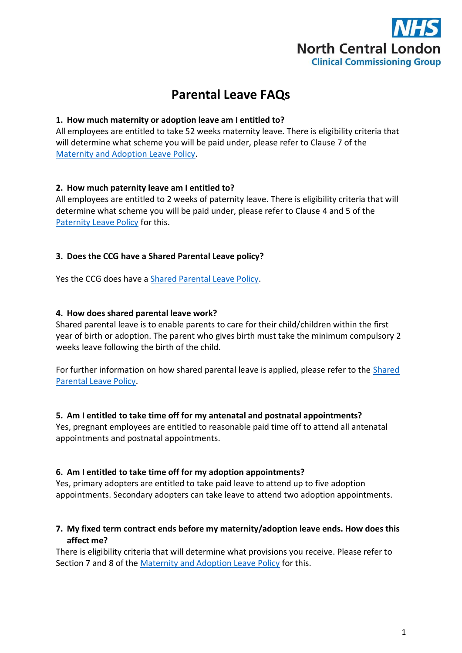

# **Parental Leave FAQs**

## **1. How much maternity or adoption leave am I entitled to?**

All employees are entitled to take 52 weeks maternity leave. There is eligibility criteria that will determine what scheme you will be paid under, please refer to Clause 7 of the [Maternity and Adoption Leave Policy.](https://intranet.northcentrallondonccg.nhs.uk/policies/policies.htm)

## **2. How much paternity leave am I entitled to?**

All employees are entitled to 2 weeks of paternity leave. There is eligibility criteria that will determine what scheme you will be paid under, please refer to Clause 4 and 5 of the [Paternity Leave Policy](https://intranet.northcentrallondonccg.nhs.uk/policies/policies.htm) for this.

## **3. Does the CCG have a Shared Parental Leave policy?**

Yes the CCG does have a [Shared Parental Leave Policy.](https://intranet.northcentrallondonccg.nhs.uk/policies/policies.htm)

### **4. How does shared parental leave work?**

Shared parental leave is to enable parents to care for their child/children within the first year of birth or adoption. The parent who gives birth must take the minimum compulsory 2 weeks leave following the birth of the child.

For further information on how shared parental leave is applied, please refer to the [Shared](https://intranet.northcentrallondonccg.nhs.uk/policies/policies.htm)  [Parental Leave Policy.](https://intranet.northcentrallondonccg.nhs.uk/policies/policies.htm)

#### **5. Am I entitled to take time off for my antenatal and postnatal appointments?**

Yes, pregnant employees are entitled to reasonable paid time off to attend all antenatal appointments and postnatal appointments.

#### **6. Am I entitled to take time off for my adoption appointments?**

Yes, primary adopters are entitled to take paid leave to attend up to five adoption appointments. Secondary adopters can take leave to attend two adoption appointments.

## **7. My fixed term contract ends before my maternity/adoption leave ends. How does this affect me?**

There is eligibility criteria that will determine what provisions you receive. Please refer to Section 7 and 8 of the [Maternity and Adoption Leave Policy](https://intranet.northcentrallondonccg.nhs.uk/policies/policies.htm) for this.